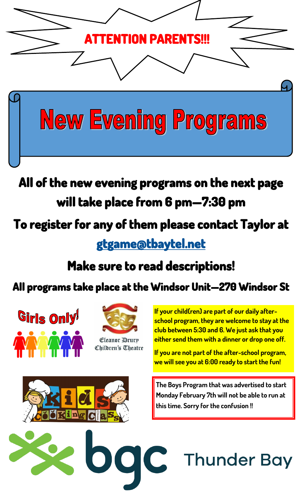

## **All of the new evening programs on the next page will take place from 6 pm—7:30 pm**

## **To register for any of them please contact Taylor at**

**[gtgame@tbaytel.net](mailto:gtgame@tbaytel.net?subject=Program%20Registration%20)** 

## **Make sure to read descriptions!**

### **All programs take place at the Windsor Unit—270 Windsor St**





Eleanor Drury Children's Theatre **If your child(ren) are part of our daily afterschool program, they are welcome to stay at the club between 5:30 and 6. We just ask that you either send them with a dinner or drop one off.** 

**If you are not part of the after-school program, we will see you at 6:00 ready to start the fun!**



**The Boys Program that was advertised to start Monday February 7th will not be able to run at this time. Sorry for the confusion !!**

**Thunder Bay**